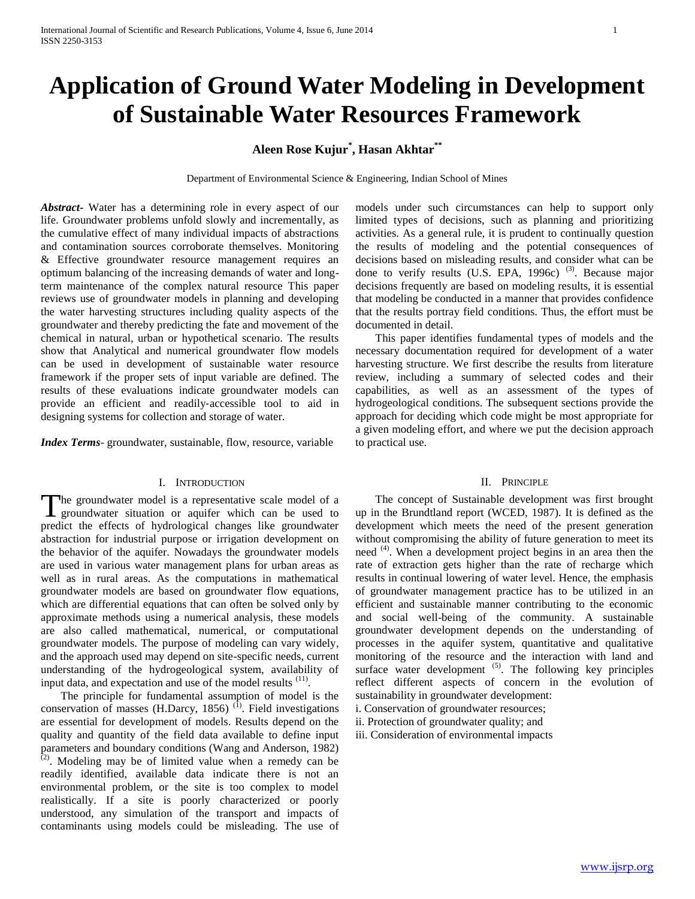# **Application of Ground Water Modeling in Development of Sustainable Water Resources Framework**

## **Aleen Rose Kujur\* , Hasan Akhtar\*\***

Department of Environmental Science & Engineering, Indian School of Mines

*Abstract***-** Water has a determining role in every aspect of our life. Groundwater problems unfold slowly and incrementally, as the cumulative effect of many individual impacts of abstractions and contamination sources corroborate themselves. Monitoring & Effective groundwater resource management requires an optimum balancing of the increasing demands of water and longterm maintenance of the complex natural resource This paper reviews use of groundwater models in planning and developing the water harvesting structures including quality aspects of the groundwater and thereby predicting the fate and movement of the chemical in natural, urban or hypothetical scenario. The results show that Analytical and numerical groundwater flow models can be used in development of sustainable water resource framework if the proper sets of input variable are defined. The results of these evaluations indicate groundwater models can provide an efficient and readily‐accessible tool to aid in designing systems for collection and storage of water.

*Index Terms*- groundwater, sustainable, flow, resource, variable

#### I. INTRODUCTION

The groundwater model is a representative scale model of a groundwater situation or aquifer which can be used to groundwater situation or aquifer which can be used to predict the effects of hydrological changes like groundwater abstraction for industrial purpose or irrigation development on the behavior of the aquifer. Nowadays the groundwater models are used in various water management plans for urban areas as well as in rural areas. As the computations in mathematical groundwater models are based on groundwater flow equations, which are differential equations that can often be solved only by approximate methods using a numerical analysis, these models are also called mathematical, numerical, or computational groundwater models. The purpose of modeling can vary widely, and the approach used may depend on site-specific needs, current understanding of the hydrogeological system, availability of input data, and expectation and use of the model results  $(11)$ .

 The principle for fundamental assumption of model is the conservation of masses (H.Darcy, 1856)<sup>(1)</sup>. Field investigations are essential for development of models. Results depend on the quality and quantity of the field data available to define input parameters and boundary conditions (Wang and Anderson, 1982)  $(2)$ . Modeling may be of limited value when a remedy can be readily identified, available data indicate there is not an environmental problem, or the site is too complex to model realistically. If a site is poorly characterized or poorly understood, any simulation of the transport and impacts of contaminants using models could be misleading. The use of

models under such circumstances can help to support only limited types of decisions, such as planning and prioritizing activities. As a general rule, it is prudent to continually question the results of modeling and the potential consequences of decisions based on misleading results, and consider what can be done to verify results  $(U.S. EPA, 1996c)$ <sup>(3)</sup>. Because major decisions frequently are based on modeling results, it is essential that modeling be conducted in a manner that provides confidence that the results portray field conditions. Thus, the effort must be documented in detail.

 This paper identifies fundamental types of models and the necessary documentation required for development of a water harvesting structure. We first describe the results from literature review, including a summary of selected codes and their capabilities, as well as an assessment of the types of hydrogeological conditions. The subsequent sections provide the approach for deciding which code might be most appropriate for a given modeling effort, and where we put the decision approach to practical use.

#### II. PRINCIPLE

 The concept of Sustainable development was first brought up in the Brundtland report (WCED, 1987). It is defined as the development which meets the need of the present generation without compromising the ability of future generation to meet its need <sup>(4)</sup>. When a development project begins in an area then the rate of extraction gets higher than the rate of recharge which results in continual lowering of water level. Hence, the emphasis of groundwater management practice has to be utilized in an efficient and sustainable manner contributing to the economic and social well-being of the community. A sustainable groundwater development depends on the understanding of processes in the aquifer system, quantitative and qualitative monitoring of the resource and the interaction with land and surface water development  $(5)$ . The following key principles reflect different aspects of concern in the evolution of sustainability in groundwater development:

i. Conservation of groundwater resources;

ii. Protection of groundwater quality; and

iii. Consideration of environmental impacts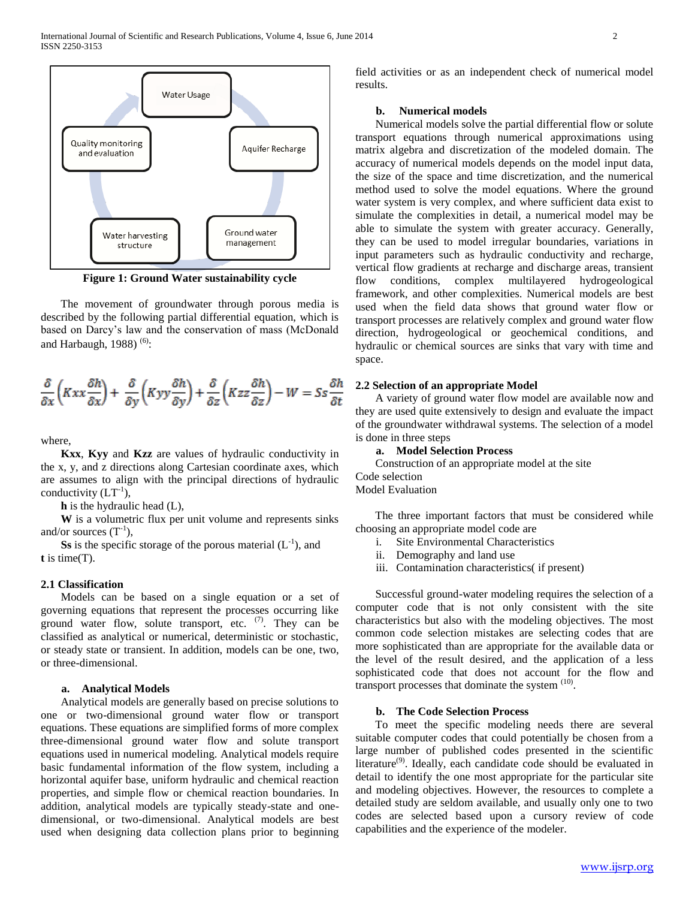

**Figure 1: Ground Water sustainability cycle**

 The movement of groundwater through porous media is described by the following partial differential equation, which is based on Darcy's law and the conservation of mass (McDonald and Harbaugh, 1988) $(6)$ :

$$
\frac{\delta}{\delta x}\left(Kxx\frac{\delta h}{\delta x}\right) + \frac{\delta}{\delta y}\left(Kyy\frac{\delta h}{\delta y}\right) + \frac{\delta}{\delta z}\left(Kzz\frac{\delta h}{\delta z}\right) - W = Ss\frac{\delta h}{\delta t}
$$

where,

 **Kxx**, **Kyy** and **Kzz** are values of hydraulic conductivity in the x, y, and z directions along Cartesian coordinate axes, which are assumes to align with the principal directions of hydraulic conductivity  $(LT^{-1})$ ,

**h** is the hydraulic head (L),

 **W** is a volumetric flux per unit volume and represents sinks and/or sources  $(T^{-1})$ ,

**Ss** is the specific storage of the porous material  $(L^{-1})$ , and **t** is time(T).

## **2.1 Classification**

 Models can be based on a single equation or a set of governing equations that represent the processes occurring like ground water flow, solute transport, etc.  $(7)$ . They can be classified as analytical or numerical, deterministic or stochastic, or steady state or transient. In addition, models can be one, two, or three-dimensional.

## **a. Analytical Models**

 Analytical models are generally based on precise solutions to one or two-dimensional ground water flow or transport equations. These equations are simplified forms of more complex three-dimensional ground water flow and solute transport equations used in numerical modeling. Analytical models require basic fundamental information of the flow system, including a horizontal aquifer base, uniform hydraulic and chemical reaction properties, and simple flow or chemical reaction boundaries. In addition, analytical models are typically steady-state and onedimensional, or two-dimensional. Analytical models are best used when designing data collection plans prior to beginning

field activities or as an independent check of numerical model results.

## **b. Numerical models**

 Numerical models solve the partial differential flow or solute transport equations through numerical approximations using matrix algebra and discretization of the modeled domain. The accuracy of numerical models depends on the model input data, the size of the space and time discretization, and the numerical method used to solve the model equations. Where the ground water system is very complex, and where sufficient data exist to simulate the complexities in detail, a numerical model may be able to simulate the system with greater accuracy. Generally, they can be used to model irregular boundaries, variations in input parameters such as hydraulic conductivity and recharge, vertical flow gradients at recharge and discharge areas, transient flow conditions, complex multilayered hydrogeological framework, and other complexities. Numerical models are best used when the field data shows that ground water flow or transport processes are relatively complex and ground water flow direction, hydrogeological or geochemical conditions, and hydraulic or chemical sources are sinks that vary with time and space.

#### **2.2 Selection of an appropriate Model**

 A variety of ground water flow model are available now and they are used quite extensively to design and evaluate the impact of the groundwater withdrawal systems. The selection of a model is done in three steps

## **a. Model Selection Process**

Construction of an appropriate model at the site

Code selection Model Evaluation

 The three important factors that must be considered while choosing an appropriate model code are

- i. Site Environmental Characteristics
- ii. Demography and land use
- iii. Contamination characteristics( if present)

 Successful ground-water modeling requires the selection of a computer code that is not only consistent with the site characteristics but also with the modeling objectives. The most common code selection mistakes are selecting codes that are more sophisticated than are appropriate for the available data or the level of the result desired, and the application of a less sophisticated code that does not account for the flow and transport processes that dominate the system  $(10)$ .

#### **b. The Code Selection Process**

 To meet the specific modeling needs there are several suitable computer codes that could potentially be chosen from a large number of published codes presented in the scientific literature $^{(9)}$ . Ideally, each candidate code should be evaluated in detail to identify the one most appropriate for the particular site and modeling objectives. However, the resources to complete a detailed study are seldom available, and usually only one to two codes are selected based upon a cursory review of code capabilities and the experience of the modeler.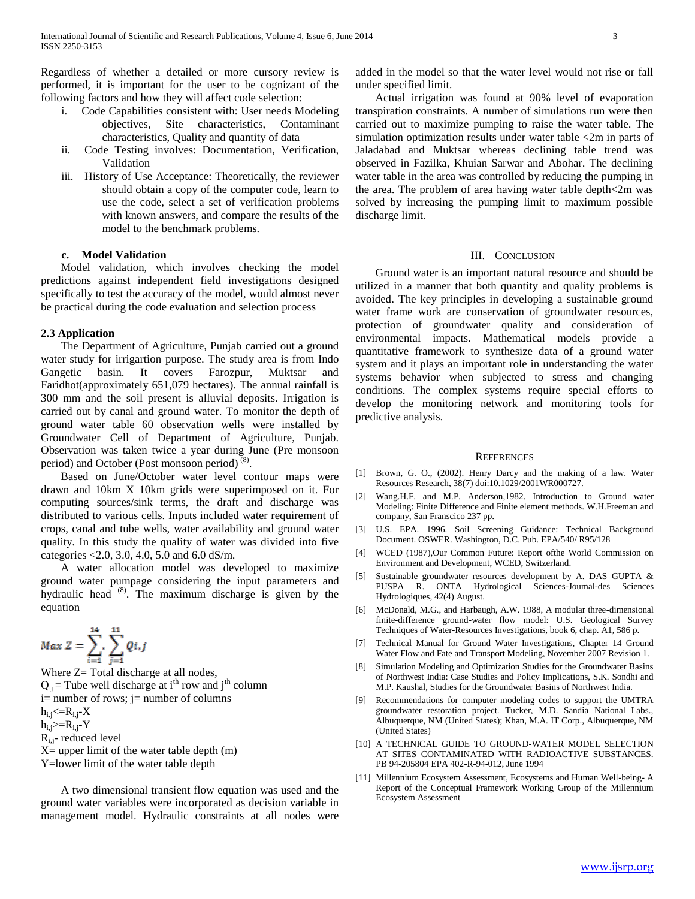Regardless of whether a detailed or more cursory review is performed, it is important for the user to be cognizant of the following factors and how they will affect code selection:

- i. Code Capabilities consistent with: User needs Modeling objectives, Site characteristics, Contaminant characteristics, Quality and quantity of data
- ii. Code Testing involves: Documentation, Verification, Validation
- iii. History of Use Acceptance: Theoretically, the reviewer should obtain a copy of the computer code, learn to use the code, select a set of verification problems with known answers, and compare the results of the model to the benchmark problems.

### **c. Model Validation**

 Model validation, which involves checking the model predictions against independent field investigations designed specifically to test the accuracy of the model, would almost never be practical during the code evaluation and selection process

#### **2.3 Application**

 The Department of Agriculture, Punjab carried out a ground water study for irrigartion purpose. The study area is from Indo Gangetic basin. It covers Farozpur, Muktsar and Faridhot(approximately 651,079 hectares). The annual rainfall is 300 mm and the soil present is alluvial deposits. Irrigation is carried out by canal and ground water. To monitor the depth of ground water table 60 observation wells were installed by Groundwater Cell of Department of Agriculture, Punjab. Observation was taken twice a year during June (Pre monsoon period) and October (Post monsoon period) $(8)$ .

 Based on June/October water level contour maps were drawn and 10km X 10km grids were superimposed on it. For computing sources/sink terms, the draft and discharge was distributed to various cells. Inputs included water requirement of crops, canal and tube wells, water availability and ground water quality. In this study the quality of water was divided into five categories <2.0, 3.0, 4.0, 5.0 and 6.0 dS/m.

 A water allocation model was developed to maximize ground water pumpage considering the input parameters and hydraulic head  $(8)$ . The maximum discharge is given by the equation

 $Max Z = \sum_{i=1}^{14} \sum_{j=1}^{11} Qi, j$ Where  $Z=$  Total discharge at all nodes,  $Q_{ij}$  = Tube well discharge at i<sup>th</sup> row and j<sup>th</sup> column i= number of rows; j= number of columns  $h_{i,j} < = R_{i,j} - X$  $h_{i,j} = R_{i,j} - Y$  $R_{i,j}$ - reduced level  $X=$  upper limit of the water table depth  $(m)$ Y=lower limit of the water table depth

 A two dimensional transient flow equation was used and the ground water variables were incorporated as decision variable in management model. Hydraulic constraints at all nodes were

added in the model so that the water level would not rise or fall under specified limit.

 Actual irrigation was found at 90% level of evaporation transpiration constraints. A number of simulations run were then carried out to maximize pumping to raise the water table. The simulation optimization results under water table <2m in parts of Jaladabad and Muktsar whereas declining table trend was observed in Fazilka, Khuian Sarwar and Abohar. The declining water table in the area was controlled by reducing the pumping in the area. The problem of area having water table depth<2m was solved by increasing the pumping limit to maximum possible discharge limit.

#### III. CONCLUSION

 Ground water is an important natural resource and should be utilized in a manner that both quantity and quality problems is avoided. The key principles in developing a sustainable ground water frame work are conservation of groundwater resources, protection of groundwater quality and consideration of environmental impacts. Mathematical models provide a quantitative framework to synthesize data of a ground water system and it plays an important role in understanding the water systems behavior when subjected to stress and changing conditions. The complex systems require special efforts to develop the monitoring network and monitoring tools for predictive analysis.

#### **REFERENCES**

- [1] Brown, G. O., (2002). Henry Darcy and the making of a law. Water Resources Research, 38(7) doi:10.1029/2001WR000727.
- [2] Wang.H.F. and M.P. Anderson,1982. Introduction to Ground water Modeling: Finite Difference and Finite element methods. W.H.Freeman and company, San Franscico 237 pp.
- [3] U.S. EPA. 1996. Soil Screening Guidance: Technical Background Document. OSWER. Washington, D.C. Pub. EPA/540/ R95/128
- [4] WCED (1987),Our Common Future: Report ofthe World Commission on Environment and Development, WCED, Switzerland.
- [5] Sustainable groundwater resources development by A. DAS GUPTA & PUSPA R. ONTA Hydrological Sciences-Joumal-des Sciences Hydrologiques, 42(4) August.
- [6] McDonald, M.G., and Harbaugh, A.W. 1988, A modular three-dimensional finite-difference ground-water flow model: U.S. Geological Survey Techniques of Water-Resources Investigations, book 6, chap. A1, 586 p.
- [7] Technical Manual for Ground Water Investigations, Chapter 14 Ground Water Flow and Fate and Transport Modeling, November 2007 Revision 1.
- [8] Simulation Modeling and Optimization Studies for the Groundwater Basins of Northwest India: Case Studies and Policy Implications, S.K. Sondhi and M.P. Kaushal, Studies for the Groundwater Basins of Northwest India.
- [9] Recommendations for computer modeling codes to support the UMTRA groundwater restoration project. Tucker, M.D. Sandia National Labs., Albuquerque, NM (United States); Khan, M.A. IT Corp., Albuquerque, NM (United States)
- [10] A TECHNICAL GUIDE TO GROUND-WATER MODEL SELECTION AT SITES CONTAMINATED WITH RADIOACTIVE SUBSTANCES. PB 94-205804 EPA 402-R-94-012, June 1994
- [11] Millennium Ecosystem Assessment, Ecosystems and Human Well-being- A Report of the Conceptual Framework Working Group of the Millennium Ecosystem Assessment